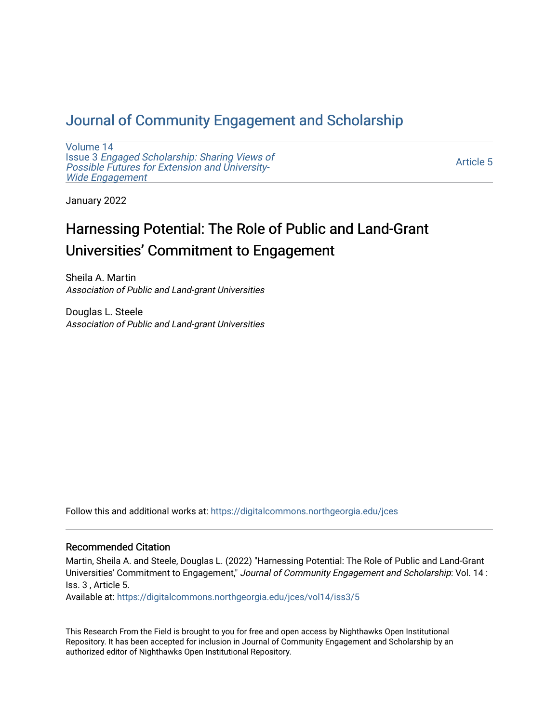# [Journal of Community Engagement and Scholarship](https://digitalcommons.northgeorgia.edu/jces)

[Volume 14](https://digitalcommons.northgeorgia.edu/jces/vol14) Issue 3 [Engaged Scholarship: Sharing Views of](https://digitalcommons.northgeorgia.edu/jces/vol14/iss3) [Possible Futures for Extension and University-](https://digitalcommons.northgeorgia.edu/jces/vol14/iss3)[Wide Engagement](https://digitalcommons.northgeorgia.edu/jces/vol14/iss3) 

[Article 5](https://digitalcommons.northgeorgia.edu/jces/vol14/iss3/5) 

January 2022

# Harnessing Potential: The Role of Public and Land-Grant Universities' Commitment to Engagement

Sheila A. Martin Association of Public and Land-grant Universities

Douglas L. Steele Association of Public and Land-grant Universities

Follow this and additional works at: [https://digitalcommons.northgeorgia.edu/jces](https://digitalcommons.northgeorgia.edu/jces?utm_source=digitalcommons.northgeorgia.edu%2Fjces%2Fvol14%2Fiss3%2F5&utm_medium=PDF&utm_campaign=PDFCoverPages)

# Recommended Citation

Martin, Sheila A. and Steele, Douglas L. (2022) "Harnessing Potential: The Role of Public and Land-Grant Universities' Commitment to Engagement," Journal of Community Engagement and Scholarship: Vol. 14 : Iss. 3 , Article 5.

Available at: [https://digitalcommons.northgeorgia.edu/jces/vol14/iss3/5](https://digitalcommons.northgeorgia.edu/jces/vol14/iss3/5?utm_source=digitalcommons.northgeorgia.edu%2Fjces%2Fvol14%2Fiss3%2F5&utm_medium=PDF&utm_campaign=PDFCoverPages) 

This Research From the Field is brought to you for free and open access by Nighthawks Open Institutional Repository. It has been accepted for inclusion in Journal of Community Engagement and Scholarship by an authorized editor of Nighthawks Open Institutional Repository.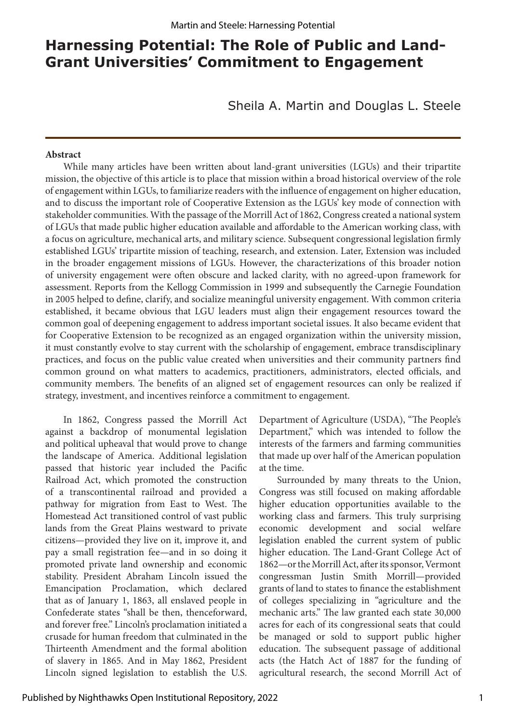# **Harnessing Potential: The Role of Public and Land-Grant Universities' Commitment to Engagement**

Sheila A. Martin and Douglas L. Steele

#### **Abstract**

While many articles have been written about land-grant universities (LGUs) and their tripartite mission, the objective of this article is to place that mission within a broad historical overview of the role of engagement within LGUs, to familiarize readers with the influence of engagement on higher education, and to discuss the important role of Cooperative Extension as the LGUs' key mode of connection with stakeholder communities. With the passage of the Morrill Act of 1862, Congress created a national system of LGUs that made public higher education available and affordable to the American working class, with a focus on agriculture, mechanical arts, and military science. Subsequent congressional legislation firmly established LGUs' tripartite mission of teaching, research, and extension. Later, Extension was included in the broader engagement missions of LGUs. However, the characterizations of this broader notion of university engagement were often obscure and lacked clarity, with no agreed-upon framework for assessment. Reports from the Kellogg Commission in 1999 and subsequently the Carnegie Foundation in 2005 helped to define, clarify, and socialize meaningful university engagement. With common criteria established, it became obvious that LGU leaders must align their engagement resources toward the common goal of deepening engagement to address important societal issues. It also became evident that for Cooperative Extension to be recognized as an engaged organization within the university mission, it must constantly evolve to stay current with the scholarship of engagement, embrace transdisciplinary practices, and focus on the public value created when universities and their community partners find common ground on what matters to academics, practitioners, administrators, elected officials, and community members. The benefits of an aligned set of engagement resources can only be realized if strategy, investment, and incentives reinforce a commitment to engagement.

In 1862, Congress passed the Morrill Act against a backdrop of monumental legislation and political upheaval that would prove to change the landscape of America. Additional legislation passed that historic year included the Pacific Railroad Act, which promoted the construction of a transcontinental railroad and provided a pathway for migration from East to West. The Homestead Act transitioned control of vast public lands from the Great Plains westward to private citizens—provided they live on it, improve it, and pay a small registration fee—and in so doing it promoted private land ownership and economic stability. President Abraham Lincoln issued the Emancipation Proclamation, which declared that as of January 1, 1863, all enslaved people in Confederate states "shall be then, thenceforward, and forever free." Lincoln's proclamation initiated a crusade for human freedom that culminated in the Thirteenth Amendment and the formal abolition of slavery in 1865. And in May 1862, President Lincoln signed legislation to establish the U.S.

Department of Agriculture (USDA), "The People's Department," which was intended to follow the interests of the farmers and farming communities that made up over half of the American population at the time.

Surrounded by many threats to the Union, Congress was still focused on making affordable higher education opportunities available to the working class and farmers. This truly surprising economic development and social welfare legislation enabled the current system of public higher education. The Land-Grant College Act of 1862—or the Morrill Act, after its sponsor, Vermont congressman Justin Smith Morrill—provided grants of land to states to finance the establishment of colleges specializing in "agriculture and the mechanic arts." The law granted each state 30,000 acres for each of its congressional seats that could be managed or sold to support public higher education. The subsequent passage of additional acts (the Hatch Act of 1887 for the funding of agricultural research, the second Morrill Act of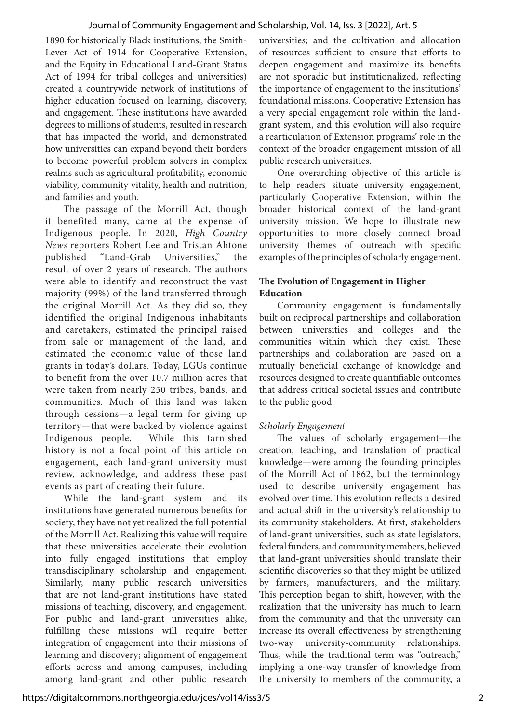1890 for historically Black institutions, the Smith-Lever Act of 1914 for Cooperative Extension, and the Equity in Educational Land-Grant Status Act of 1994 for tribal colleges and universities) created a countrywide network of institutions of higher education focused on learning, discovery, and engagement. These institutions have awarded degrees to millions of students, resulted in research that has impacted the world, and demonstrated how universities can expand beyond their borders to become powerful problem solvers in complex realms such as agricultural profitability, economic viability, community vitality, health and nutrition, and families and youth.

The passage of the Morrill Act, though it benefited many, came at the expense of Indigenous people. In 2020, *High Country News* reporters Robert Lee and Tristan Ahtone published "Land-Grab Universities," the result of over 2 years of research. The authors were able to identify and reconstruct the vast majority (99%) of the land transferred through the original Morrill Act. As they did so, they identified the original Indigenous inhabitants and caretakers, estimated the principal raised from sale or management of the land, and estimated the economic value of those land grants in today's dollars. Today, LGUs continue to benefit from the over 10.7 million acres that were taken from nearly 250 tribes, bands, and communities. Much of this land was taken through cessions—a legal term for giving up territory—that were backed by violence against Indigenous people. While this tarnished history is not a focal point of this article on engagement, each land-grant university must review, acknowledge, and address these past events as part of creating their future.

While the land-grant system and its institutions have generated numerous benefits for society, they have not yet realized the full potential of the Morrill Act. Realizing this value will require that these universities accelerate their evolution into fully engaged institutions that employ transdisciplinary scholarship and engagement. Similarly, many public research universities that are not land-grant institutions have stated missions of teaching, discovery, and engagement. For public and land-grant universities alike, fulfilling these missions will require better integration of engagement into their missions of learning and discovery; alignment of engagement efforts across and among campuses, including among land-grant and other public research

universities; and the cultivation and allocation of resources sufficient to ensure that efforts to deepen engagement and maximize its benefits are not sporadic but institutionalized, reflecting the importance of engagement to the institutions' foundational missions. Cooperative Extension has a very special engagement role within the landgrant system, and this evolution will also require a rearticulation of Extension programs' role in the context of the broader engagement mission of all public research universities.

One overarching objective of this article is to help readers situate university engagement, particularly Cooperative Extension, within the broader historical context of the land-grant university mission. We hope to illustrate new opportunities to more closely connect broad university themes of outreach with specific examples of the principles of scholarly engagement.

# **The Evolution of Engagement in Higher Education**

Community engagement is fundamentally built on reciprocal partnerships and collaboration between universities and colleges and the communities within which they exist. These partnerships and collaboration are based on a mutually beneficial exchange of knowledge and resources designed to create quantifiable outcomes that address critical societal issues and contribute to the public good.

## *Scholarly Engagement*

The values of scholarly engagement—the creation, teaching, and translation of practical knowledge—were among the founding principles of the Morrill Act of 1862, but the terminology used to describe university engagement has evolved over time. This evolution reflects a desired and actual shift in the university's relationship to its community stakeholders. At first, stakeholders of land-grant universities, such as state legislators, federal funders, and community members, believed that land-grant universities should translate their scientific discoveries so that they might be utilized by farmers, manufacturers, and the military. This perception began to shift, however, with the realization that the university has much to learn from the community and that the university can increase its overall effectiveness by strengthening two-way university-community relationships. Thus, while the traditional term was "outreach," implying a one-way transfer of knowledge from the university to members of the community, a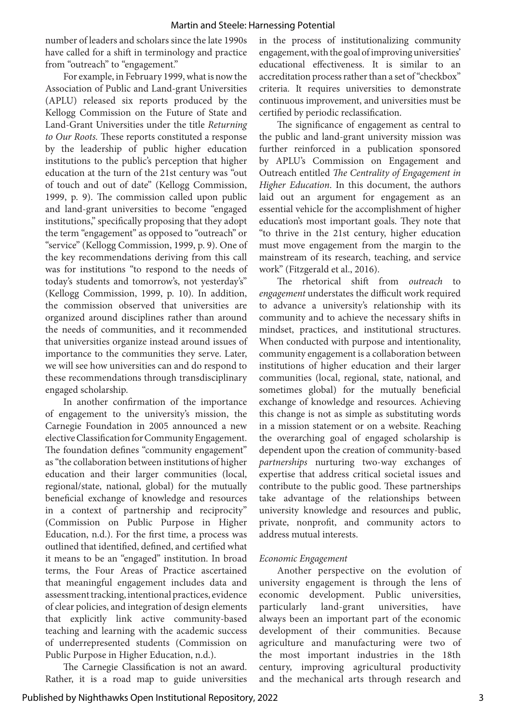number of leaders and scholars since the late 1990s have called for a shift in terminology and practice from "outreach" to "engagement."

For example, in February 1999, what is now the Association of Public and Land-grant Universities (APLU) released six reports produced by the Kellogg Commission on the Future of State and Land-Grant Universities under the title *Returning to Our Roots.* These reports constituted a response by the leadership of public higher education institutions to the public's perception that higher education at the turn of the 21st century was "out of touch and out of date" (Kellogg Commission, 1999, p. 9). The commission called upon public and land-grant universities to become "engaged institutions," specifically proposing that they adopt the term "engagement" as opposed to "outreach" or "service" (Kellogg Commission, 1999, p. 9). One of the key recommendations deriving from this call was for institutions "to respond to the needs of today's students and tomorrow's, not yesterday's" (Kellogg Commission, 1999, p. 10). In addition, the commission observed that universities are organized around disciplines rather than around the needs of communities, and it recommended that universities organize instead around issues of importance to the communities they serve. Later, we will see how universities can and do respond to these recommendations through transdisciplinary engaged scholarship.

In another confirmation of the importance of engagement to the university's mission, the Carnegie Foundation in 2005 announced a new elective Classification for Community Engagement. The foundation defines "community engagement" as "the collaboration between institutions of higher education and their larger communities (local, regional/state, national, global) for the mutually beneficial exchange of knowledge and resources in a context of partnership and reciprocity" (Commission on Public Purpose in Higher Education, n.d.). For the first time, a process was outlined that identified, defined, and certified what it means to be an "engaged" institution. In broad terms, the Four Areas of Practice ascertained that meaningful engagement includes data and assessment tracking, intentional practices, evidence of clear policies, and integration of design elements that explicitly link active community-based teaching and learning with the academic success of underrepresented students (Commission on Public Purpose in Higher Education, n.d.).

The Carnegie Classification is not an award. Rather, it is a road map to guide universities in the process of institutionalizing community engagement, with the goal of improving universities' educational effectiveness. It is similar to an accreditation process rather than a set of "checkbox" criteria. It requires universities to demonstrate continuous improvement, and universities must be certified by periodic reclassification.

The significance of engagement as central to the public and land-grant university mission was further reinforced in a publication sponsored by APLU's Commission on Engagement and Outreach entitled *The Centrality of Engagement in Higher Education*. In this document, the authors laid out an argument for engagement as an essential vehicle for the accomplishment of higher education's most important goals. They note that "to thrive in the 21st century, higher education must move engagement from the margin to the mainstream of its research, teaching, and service work" (Fitzgerald et al., 2016).

The rhetorical shift from *outreach* to *engagement* understates the difficult work required to advance a university's relationship with its community and to achieve the necessary shifts in mindset, practices, and institutional structures. When conducted with purpose and intentionality, community engagement is a collaboration between institutions of higher education and their larger communities (local, regional, state, national, and sometimes global) for the mutually beneficial exchange of knowledge and resources. Achieving this change is not as simple as substituting words in a mission statement or on a website. Reaching the overarching goal of engaged scholarship is dependent upon the creation of community-based *partnerships* nurturing two-way exchanges of expertise that address critical societal issues and contribute to the public good. These partnerships take advantage of the relationships between university knowledge and resources and public, private, nonprofit, and community actors to address mutual interests.

## *Economic Engagement*

Another perspective on the evolution of university engagement is through the lens of economic development. Public universities, particularly land-grant universities, have always been an important part of the economic development of their communities. Because agriculture and manufacturing were two of the most important industries in the 18th century, improving agricultural productivity and the mechanical arts through research and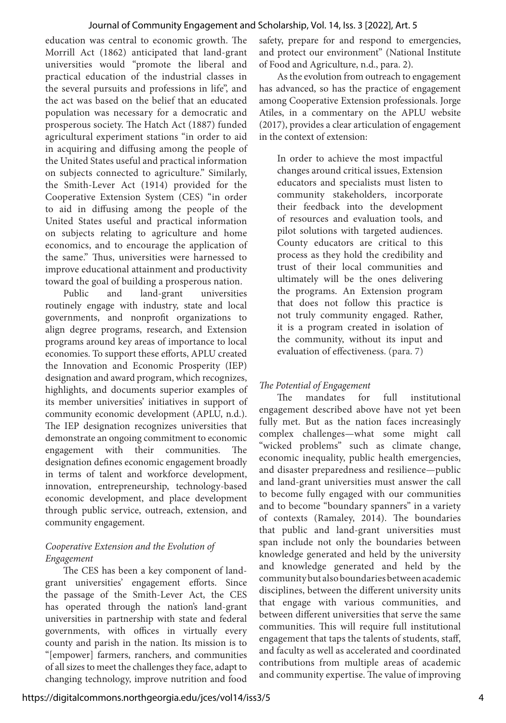education was central to economic growth. The Morrill Act (1862) anticipated that land-grant universities would "promote the liberal and practical education of the industrial classes in the several pursuits and professions in life", and the act was based on the belief that an educated population was necessary for a democratic and prosperous society. The Hatch Act (1887) funded agricultural experiment stations "in order to aid in acquiring and diffusing among the people of the United States useful and practical information on subjects connected to agriculture." Similarly, the Smith-Lever Act (1914) provided for the Cooperative Extension System (CES) "in order to aid in diffusing among the people of the United States useful and practical information on subjects relating to agriculture and home economics, and to encourage the application of the same." Thus, universities were harnessed to improve educational attainment and productivity toward the goal of building a prosperous nation.

Public and land-grant universities routinely engage with industry, state and local governments, and nonprofit organizations to align degree programs, research, and Extension programs around key areas of importance to local economies. To support these efforts, APLU created the Innovation and Economic Prosperity (IEP) designation and award program, which recognizes, highlights, and documents superior examples of its member universities' initiatives in support of community economic development (APLU, n.d.). The IEP designation recognizes universities that demonstrate an ongoing commitment to economic engagement with their communities. The designation defines economic engagement broadly in terms of talent and workforce development, innovation, entrepreneurship, technology-based economic development, and place development through public service, outreach, extension, and community engagement.

# *Cooperative Extension and the Evolution of Engagement*

The CES has been a key component of landgrant universities' engagement efforts. Since the passage of the Smith-Lever Act, the CES has operated through the nation's land-grant universities in partnership with state and federal governments, with offices in virtually every county and parish in the nation. Its mission is to "[empower] farmers, ranchers, and communities of all sizes to meet the challenges they face, adapt to changing technology, improve nutrition and food

safety, prepare for and respond to emergencies, and protect our environment" (National Institute of Food and Agriculture, n.d., para. 2).

As the evolution from outreach to engagement has advanced, so has the practice of engagement among Cooperative Extension professionals. Jorge Atiles, in a commentary on the APLU website (2017), provides a clear articulation of engagement in the context of extension:

In order to achieve the most impactful changes around critical issues, Extension educators and specialists must listen to community stakeholders, incorporate their feedback into the development of resources and evaluation tools, and pilot solutions with targeted audiences. County educators are critical to this process as they hold the credibility and trust of their local communities and ultimately will be the ones delivering the programs. An Extension program that does not follow this practice is not truly community engaged. Rather, it is a program created in isolation of the community, without its input and evaluation of effectiveness. (para. 7)

# *The Potential of Engagement*

The mandates for full institutional engagement described above have not yet been fully met. But as the nation faces increasingly complex challenges—what some might call "wicked problems" such as climate change, economic inequality, public health emergencies, and disaster preparedness and resilience—public and land-grant universities must answer the call to become fully engaged with our communities and to become "boundary spanners" in a variety of contexts (Ramaley, 2014). The boundaries that public and land-grant universities must span include not only the boundaries between knowledge generated and held by the university and knowledge generated and held by the community but also boundaries between academic disciplines, between the different university units that engage with various communities, and between different universities that serve the same communities. This will require full institutional engagement that taps the talents of students, staff, and faculty as well as accelerated and coordinated contributions from multiple areas of academic and community expertise. The value of improving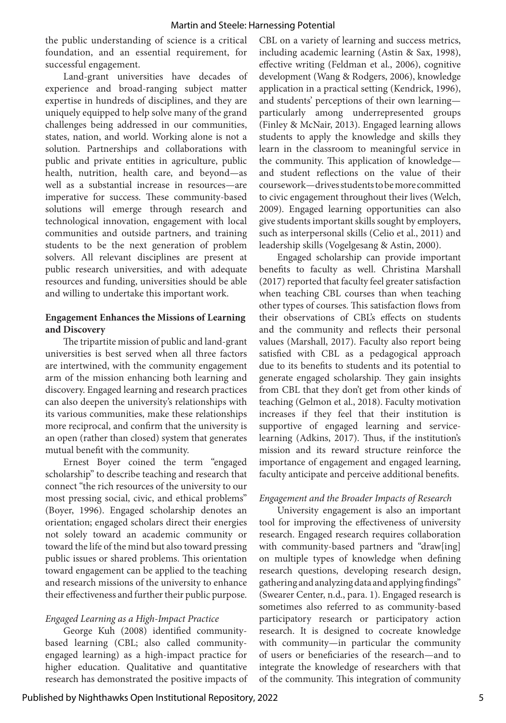the public understanding of science is a critical foundation, and an essential requirement, for successful engagement.

Land-grant universities have decades of experience and broad-ranging subject matter expertise in hundreds of disciplines, and they are uniquely equipped to help solve many of the grand challenges being addressed in our communities, states, nation, and world. Working alone is not a solution. Partnerships and collaborations with public and private entities in agriculture, public health, nutrition, health care, and beyond—as well as a substantial increase in resources—are imperative for success. These community-based solutions will emerge through research and technological innovation, engagement with local communities and outside partners, and training students to be the next generation of problem solvers. All relevant disciplines are present at public research universities, and with adequate resources and funding, universities should be able and willing to undertake this important work.

# **Engagement Enhances the Missions of Learning and Discovery**

The tripartite mission of public and land-grant universities is best served when all three factors are intertwined, with the community engagement arm of the mission enhancing both learning and discovery. Engaged learning and research practices can also deepen the university's relationships with its various communities, make these relationships more reciprocal, and confirm that the university is an open (rather than closed) system that generates mutual benefit with the community.

Ernest Boyer coined the term "engaged scholarship" to describe teaching and research that connect "the rich resources of the university to our most pressing social, civic, and ethical problems" (Boyer, 1996). Engaged scholarship denotes an orientation; engaged scholars direct their energies not solely toward an academic community or toward the life of the mind but also toward pressing public issues or shared problems. This orientation toward engagement can be applied to the teaching and research missions of the university to enhance their effectiveness and further their public purpose.

# *Engaged Learning as a High-Impact Practice*

George Kuh (2008) identified communitybased learning (CBL; also called communityengaged learning) as a high-impact practice for higher education. Qualitative and quantitative research has demonstrated the positive impacts of CBL on a variety of learning and success metrics, including academic learning (Astin & Sax, 1998), effective writing (Feldman et al., 2006), cognitive development (Wang & Rodgers, 2006), knowledge application in a practical setting (Kendrick, 1996), and students' perceptions of their own learning particularly among underrepresented groups (Finley & McNair, 2013). Engaged learning allows students to apply the knowledge and skills they learn in the classroom to meaningful service in the community. This application of knowledge and student reflections on the value of their coursework—drives students to be more committed to civic engagement throughout their lives (Welch, 2009). Engaged learning opportunities can also give students important skills sought by employers, such as interpersonal skills (Celio et al., 2011) and leadership skills (Vogelgesang & Astin, 2000).

Engaged scholarship can provide important benefits to faculty as well. Christina Marshall (2017) reported that faculty feel greater satisfaction when teaching CBL courses than when teaching other types of courses. This satisfaction flows from their observations of CBL's effects on students and the community and reflects their personal values (Marshall, 2017). Faculty also report being satisfied with CBL as a pedagogical approach due to its benefits to students and its potential to generate engaged scholarship. They gain insights from CBL that they don't get from other kinds of teaching (Gelmon et al., 2018). Faculty motivation increases if they feel that their institution is supportive of engaged learning and servicelearning (Adkins, 2017). Thus, if the institution's mission and its reward structure reinforce the importance of engagement and engaged learning, faculty anticipate and perceive additional benefits.

## *Engagement and the Broader Impacts of Research*

University engagement is also an important tool for improving the effectiveness of university research. Engaged research requires collaboration with community-based partners and "draw[ing] on multiple types of knowledge when defining research questions, developing research design, gathering and analyzing data and applying findings" (Swearer Center, n.d., para. 1). Engaged research is sometimes also referred to as community-based participatory research or participatory action research. It is designed to cocreate knowledge with community—in particular the community of users or beneficiaries of the research—and to integrate the knowledge of researchers with that of the community. This integration of community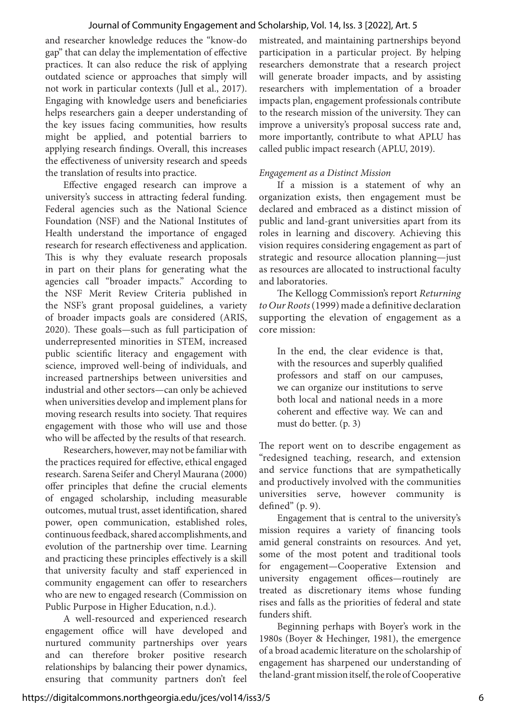and researcher knowledge reduces the "know-do gap" that can delay the implementation of effective practices. It can also reduce the risk of applying outdated science or approaches that simply will not work in particular contexts (Jull et al., 2017). Engaging with knowledge users and beneficiaries helps researchers gain a deeper understanding of the key issues facing communities, how results might be applied, and potential barriers to applying research findings. Overall, this increases the effectiveness of university research and speeds the translation of results into practice.

Effective engaged research can improve a university's success in attracting federal funding. Federal agencies such as the National Science Foundation (NSF) and the National Institutes of Health understand the importance of engaged research for research effectiveness and application. This is why they evaluate research proposals in part on their plans for generating what the agencies call "broader impacts." According to the NSF Merit Review Criteria published in the NSF's grant proposal guidelines, a variety of broader impacts goals are considered (ARIS, 2020). These goals—such as full participation of underrepresented minorities in STEM, increased public scientific literacy and engagement with science, improved well-being of individuals, and increased partnerships between universities and industrial and other sectors—can only be achieved when universities develop and implement plans for moving research results into society. That requires engagement with those who will use and those who will be affected by the results of that research.

Researchers, however, may not be familiar with the practices required for effective, ethical engaged research. Sarena Seifer and Cheryl Maurana (2000) offer principles that define the crucial elements of engaged scholarship, including measurable outcomes, mutual trust, asset identification, shared power, open communication, established roles, continuous feedback, shared accomplishments, and evolution of the partnership over time. Learning and practicing these principles effectively is a skill that university faculty and staff experienced in community engagement can offer to researchers who are new to engaged research (Commission on Public Purpose in Higher Education, n.d.).

A well-resourced and experienced research engagement office will have developed and nurtured community partnerships over years and can therefore broker positive research relationships by balancing their power dynamics, ensuring that community partners don't feel mistreated, and maintaining partnerships beyond participation in a particular project. By helping researchers demonstrate that a research project will generate broader impacts, and by assisting researchers with implementation of a broader impacts plan, engagement professionals contribute to the research mission of the university. They can improve a university's proposal success rate and, more importantly, contribute to what APLU has called public impact research (APLU, 2019).

#### *Engagement as a Distinct Mission*

If a mission is a statement of why an organization exists, then engagement must be declared and embraced as a distinct mission of public and land-grant universities apart from its roles in learning and discovery. Achieving this vision requires considering engagement as part of strategic and resource allocation planning—just as resources are allocated to instructional faculty and laboratories.

The Kellogg Commission's report *Returning to Our Roots* (1999) made a definitive declaration supporting the elevation of engagement as a core mission:

In the end, the clear evidence is that, with the resources and superbly qualified professors and staff on our campuses, we can organize our institutions to serve both local and national needs in a more coherent and effective way. We can and must do better. (p. 3)

The report went on to describe engagement as "redesigned teaching, research, and extension and service functions that are sympathetically and productively involved with the communities universities serve, however community is defined" (p. 9).

Engagement that is central to the university's mission requires a variety of financing tools amid general constraints on resources. And yet, some of the most potent and traditional tools for engagement—Cooperative Extension and university engagement offices—routinely are treated as discretionary items whose funding rises and falls as the priorities of federal and state funders shift.

Beginning perhaps with Boyer's work in the 1980s (Boyer & Hechinger, 1981), the emergence of a broad academic literature on the scholarship of engagement has sharpened our understanding of the land-grant mission itself, the role of Cooperative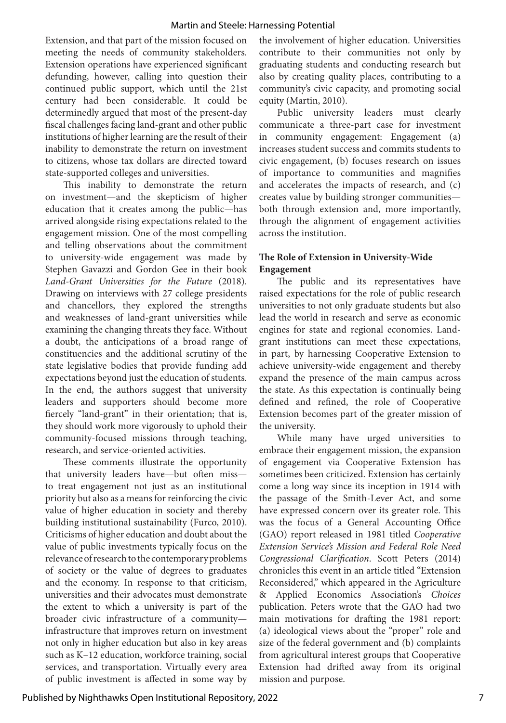#### Martin and Steele: Harnessing Potential

Extension, and that part of the mission focused on meeting the needs of community stakeholders. Extension operations have experienced significant defunding, however, calling into question their continued public support, which until the 21st century had been considerable. It could be determinedly argued that most of the present-day fiscal challenges facing land-grant and other public institutions of higher learning are the result of their inability to demonstrate the return on investment to citizens, whose tax dollars are directed toward state-supported colleges and universities.

This inability to demonstrate the return on investment—and the skepticism of higher education that it creates among the public—has arrived alongside rising expectations related to the engagement mission. One of the most compelling and telling observations about the commitment to university-wide engagement was made by Stephen Gavazzi and Gordon Gee in their book *Land-Grant Universities for the Future* (2018). Drawing on interviews with 27 college presidents and chancellors, they explored the strengths and weaknesses of land-grant universities while examining the changing threats they face. Without a doubt, the anticipations of a broad range of constituencies and the additional scrutiny of the state legislative bodies that provide funding add expectations beyond just the education of students. In the end, the authors suggest that university leaders and supporters should become more fiercely "land-grant" in their orientation; that is, they should work more vigorously to uphold their community-focused missions through teaching, research, and service-oriented activities.

These comments illustrate the opportunity that university leaders have—but often miss to treat engagement not just as an institutional priority but also as a means for reinforcing the civic value of higher education in society and thereby building institutional sustainability (Furco, 2010). Criticisms of higher education and doubt about the value of public investments typically focus on the relevance of research to the contemporary problems of society or the value of degrees to graduates and the economy. In response to that criticism, universities and their advocates must demonstrate the extent to which a university is part of the broader civic infrastructure of a community infrastructure that improves return on investment not only in higher education but also in key areas such as K–12 education, workforce training, social services, and transportation. Virtually every area of public investment is affected in some way by

the involvement of higher education. Universities contribute to their communities not only by graduating students and conducting research but also by creating quality places, contributing to a community's civic capacity, and promoting social equity (Martin, 2010).

Public university leaders must clearly communicate a three-part case for investment in community engagement: Engagement (a) increases student success and commits students to civic engagement, (b) focuses research on issues of importance to communities and magnifies and accelerates the impacts of research, and (c) creates value by building stronger communities both through extension and, more importantly, through the alignment of engagement activities across the institution.

#### **The Role of Extension in University-Wide Engagement**

The public and its representatives have raised expectations for the role of public research universities to not only graduate students but also lead the world in research and serve as economic engines for state and regional economies. Landgrant institutions can meet these expectations, in part, by harnessing Cooperative Extension to achieve university-wide engagement and thereby expand the presence of the main campus across the state. As this expectation is continually being defined and refined, the role of Cooperative Extension becomes part of the greater mission of the university.

While many have urged universities to embrace their engagement mission, the expansion of engagement via Cooperative Extension has sometimes been criticized. Extension has certainly come a long way since its inception in 1914 with the passage of the Smith-Lever Act, and some have expressed concern over its greater role. This was the focus of a General Accounting Office (GAO) report released in 1981 titled *Cooperative Extension Service's Mission and Federal Role Need Congressional Clarification*. Scott Peters (2014) chronicles this event in an article titled "Extension Reconsidered," which appeared in the Agriculture & Applied Economics Association's *Choices*  publication. Peters wrote that the GAO had two main motivations for drafting the 1981 report: (a) ideological views about the "proper" role and size of the federal government and (b) complaints from agricultural interest groups that Cooperative Extension had drifted away from its original mission and purpose.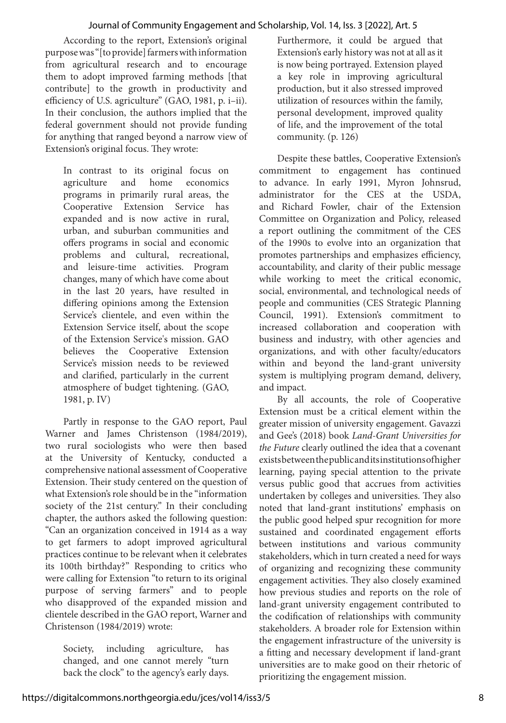According to the report, Extension's original purpose was "[to provide] farmers with information from agricultural research and to encourage them to adopt improved farming methods [that contribute] to the growth in productivity and efficiency of U.S. agriculture" (GAO, 1981, p. i–ii). In their conclusion, the authors implied that the federal government should not provide funding for anything that ranged beyond a narrow view of Extension's original focus. They wrote:

In contrast to its original focus on agriculture and home economics programs in primarily rural areas, the Cooperative Extension Service has expanded and is now active in rural, urban, and suburban communities and offers programs in social and economic problems and cultural, recreational, and leisure-time activities. Program changes, many of which have come about in the last 20 years, have resulted in differing opinions among the Extension Service's clientele, and even within the Extension Service itself, about the scope of the Extension Service's mission. GAO believes the Cooperative Extension Service's mission needs to be reviewed and clarified, particularly in the current atmosphere of budget tightening. (GAO, 1981, p. IV)

Partly in response to the GAO report, Paul Warner and James Christenson (1984/2019), two rural sociologists who were then based at the University of Kentucky, conducted a comprehensive national assessment of Cooperative Extension. Their study centered on the question of what Extension's role should be in the "information society of the 21st century." In their concluding chapter, the authors asked the following question: "Can an organization conceived in 1914 as a way to get farmers to adopt improved agricultural practices continue to be relevant when it celebrates its 100th birthday?" Responding to critics who were calling for Extension "to return to its original purpose of serving farmers" and to people who disapproved of the expanded mission and clientele described in the GAO report, Warner and Christenson (1984/2019) wrote:

Society, including agriculture, has changed, and one cannot merely "turn back the clock" to the agency's early days.

Furthermore, it could be argued that Extension's early history was not at all as it is now being portrayed. Extension played a key role in improving agricultural production, but it also stressed improved utilization of resources within the family, personal development, improved quality of life, and the improvement of the total community. (p. 126)

Despite these battles, Cooperative Extension's commitment to engagement has continued to advance. In early 1991, Myron Johnsrud, administrator for the CES at the USDA, and Richard Fowler, chair of the Extension Committee on Organization and Policy, released a report outlining the commitment of the CES of the 1990s to evolve into an organization that promotes partnerships and emphasizes efficiency, accountability, and clarity of their public message while working to meet the critical economic, social, environmental, and technological needs of people and communities (CES Strategic Planning Council, 1991). Extension's commitment to increased collaboration and cooperation with business and industry, with other agencies and organizations, and with other faculty/educators within and beyond the land-grant university system is multiplying program demand, delivery, and impact.

By all accounts, the role of Cooperative Extension must be a critical element within the greater mission of university engagement. Gavazzi and Gee's (2018) book *Land-Grant Universities for the Future* clearly outlined the idea that a covenant exists between the public and its institutions of higher learning, paying special attention to the private versus public good that accrues from activities undertaken by colleges and universities. They also noted that land-grant institutions' emphasis on the public good helped spur recognition for more sustained and coordinated engagement efforts between institutions and various community stakeholders, which in turn created a need for ways of organizing and recognizing these community engagement activities. They also closely examined how previous studies and reports on the role of land-grant university engagement contributed to the codification of relationships with community stakeholders. A broader role for Extension within the engagement infrastructure of the university is a fitting and necessary development if land-grant universities are to make good on their rhetoric of prioritizing the engagement mission.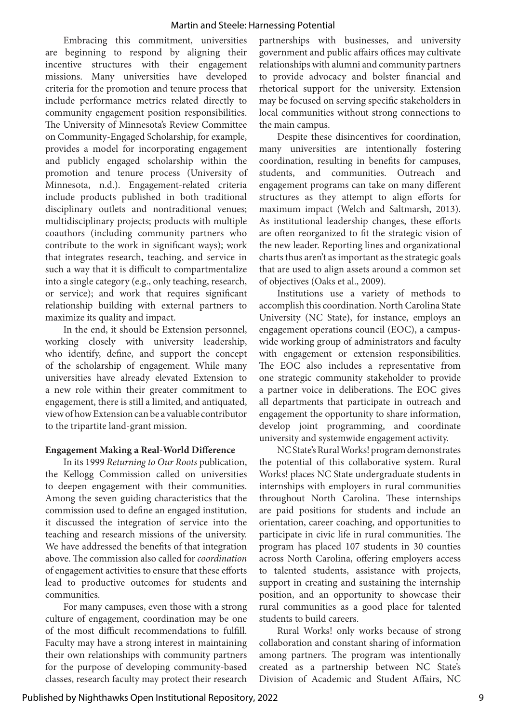Embracing this commitment, universities are beginning to respond by aligning their incentive structures with their engagement missions. Many universities have developed criteria for the promotion and tenure process that include performance metrics related directly to community engagement position responsibilities. The University of Minnesota's Review Committee on Community-Engaged Scholarship, for example, provides a model for incorporating engagement and publicly engaged scholarship within the promotion and tenure process (University of Minnesota, n.d.). Engagement-related criteria include products published in both traditional disciplinary outlets and nontraditional venues; multidisciplinary projects; products with multiple coauthors (including community partners who contribute to the work in significant ways); work that integrates research, teaching, and service in such a way that it is difficult to compartmentalize into a single category (e.g., only teaching, research, or service); and work that requires significant relationship building with external partners to maximize its quality and impact.

In the end, it should be Extension personnel, working closely with university leadership, who identify, define, and support the concept of the scholarship of engagement. While many universities have already elevated Extension to a new role within their greater commitment to engagement, there is still a limited, and antiquated, view of how Extension can be a valuable contributor to the tripartite land-grant mission.

## **Engagement Making a Real-World Difference**

In its 1999 *Returning to Our Roots* publication, the Kellogg Commission called on universities to deepen engagement with their communities. Among the seven guiding characteristics that the commission used to define an engaged institution, it discussed the integration of service into the teaching and research missions of the university. We have addressed the benefits of that integration above. The commission also called for *coordination*  of engagement activities to ensure that these efforts lead to productive outcomes for students and communities.

For many campuses, even those with a strong culture of engagement, coordination may be one of the most difficult recommendations to fulfill. Faculty may have a strong interest in maintaining their own relationships with community partners for the purpose of developing community-based classes, research faculty may protect their research partnerships with businesses, and university government and public affairs offices may cultivate relationships with alumni and community partners to provide advocacy and bolster financial and rhetorical support for the university. Extension may be focused on serving specific stakeholders in local communities without strong connections to the main campus.

Despite these disincentives for coordination, many universities are intentionally fostering coordination, resulting in benefits for campuses, students, and communities. Outreach and engagement programs can take on many different structures as they attempt to align efforts for maximum impact (Welch and Saltmarsh, 2013). As institutional leadership changes, these efforts are often reorganized to fit the strategic vision of the new leader. Reporting lines and organizational charts thus aren't as important as the strategic goals that are used to align assets around a common set of objectives (Oaks et al., 2009).

Institutions use a variety of methods to accomplish this coordination. North Carolina State University (NC State), for instance, employs an engagement operations council (EOC), a campuswide working group of administrators and faculty with engagement or extension responsibilities. The EOC also includes a representative from one strategic community stakeholder to provide a partner voice in deliberations. The EOC gives all departments that participate in outreach and engagement the opportunity to share information, develop joint programming, and coordinate university and systemwide engagement activity.

NC State's Rural Works! program demonstrates the potential of this collaborative system. Rural Works! places NC State undergraduate students in internships with employers in rural communities throughout North Carolina. These internships are paid positions for students and include an orientation, career coaching, and opportunities to participate in civic life in rural communities. The program has placed 107 students in 30 counties across North Carolina, offering employers access to talented students, assistance with projects, support in creating and sustaining the internship position, and an opportunity to showcase their rural communities as a good place for talented students to build careers.

Rural Works! only works because of strong collaboration and constant sharing of information among partners. The program was intentionally created as a partnership between NC State's Division of Academic and Student Affairs, NC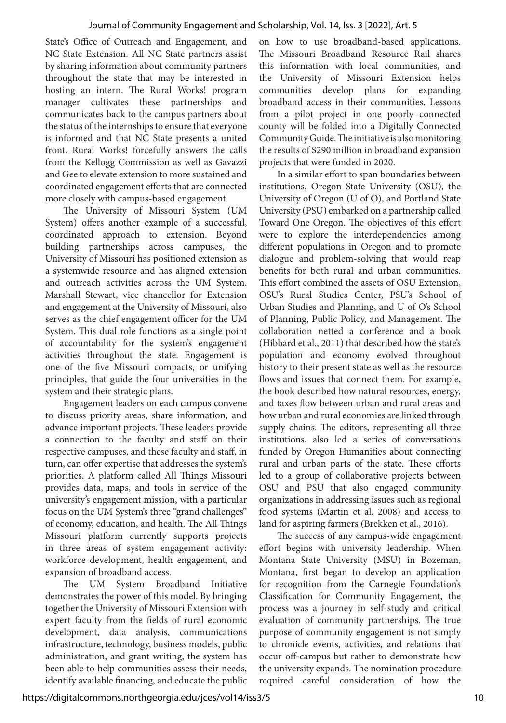State's Office of Outreach and Engagement, and NC State Extension. All NC State partners assist by sharing information about community partners throughout the state that may be interested in hosting an intern. The Rural Works! program manager cultivates these partnerships and communicates back to the campus partners about the status of the internships to ensure that everyone is informed and that NC State presents a united front. Rural Works! forcefully answers the calls from the Kellogg Commission as well as Gavazzi and Gee to elevate extension to more sustained and coordinated engagement efforts that are connected more closely with campus-based engagement.

The University of Missouri System (UM System) offers another example of a successful, coordinated approach to extension. Beyond building partnerships across campuses, the University of Missouri has positioned extension as a systemwide resource and has aligned extension and outreach activities across the UM System. Marshall Stewart, vice chancellor for Extension and engagement at the University of Missouri, also serves as the chief engagement officer for the UM System. This dual role functions as a single point of accountability for the system's engagement activities throughout the state. Engagement is one of the five Missouri compacts, or unifying principles, that guide the four universities in the system and their strategic plans.

Engagement leaders on each campus convene to discuss priority areas, share information, and advance important projects. These leaders provide a connection to the faculty and staff on their respective campuses, and these faculty and staff, in turn, can offer expertise that addresses the system's priorities. A platform called All Things Missouri provides data, maps, and tools in service of the university's engagement mission, with a particular focus on the UM System's three "grand challenges" of economy, education, and health. The All Things Missouri platform currently supports projects in three areas of system engagement activity: workforce development, health engagement, and expansion of broadband access.

The UM System Broadband Initiative demonstrates the power of this model. By bringing together the University of Missouri Extension with expert faculty from the fields of rural economic development, data analysis, communications infrastructure, technology, business models, public administration, and grant writing, the system has been able to help communities assess their needs, identify available financing, and educate the public on how to use broadband-based applications. The Missouri Broadband Resource Rail shares this information with local communities, and the University of Missouri Extension helps communities develop plans for expanding broadband access in their communities. Lessons from a pilot project in one poorly connected county will be folded into a Digitally Connected Community Guide. The initiative is also monitoring the results of \$290 million in broadband expansion projects that were funded in 2020.

In a similar effort to span boundaries between institutions, Oregon State University (OSU), the University of Oregon (U of O), and Portland State University (PSU) embarked on a partnership called Toward One Oregon. The objectives of this effort were to explore the interdependencies among different populations in Oregon and to promote dialogue and problem-solving that would reap benefits for both rural and urban communities. This effort combined the assets of OSU Extension, OSU's Rural Studies Center, PSU's School of Urban Studies and Planning, and U of O's School of Planning, Public Policy, and Management. The collaboration netted a conference and a book (Hibbard et al., 2011) that described how the state's population and economy evolved throughout history to their present state as well as the resource flows and issues that connect them. For example, the book described how natural resources, energy, and taxes flow between urban and rural areas and how urban and rural economies are linked through supply chains. The editors, representing all three institutions, also led a series of conversations funded by Oregon Humanities about connecting rural and urban parts of the state. These efforts led to a group of collaborative projects between OSU and PSU that also engaged community organizations in addressing issues such as regional food systems (Martin et al. 2008) and access to land for aspiring farmers (Brekken et al., 2016).

The success of any campus-wide engagement effort begins with university leadership. When Montana State University (MSU) in Bozeman, Montana, first began to develop an application for recognition from the Carnegie Foundation's Classification for Community Engagement, the process was a journey in self-study and critical evaluation of community partnerships. The true purpose of community engagement is not simply to chronicle events, activities, and relations that occur off-campus but rather to demonstrate how the university expands. The nomination procedure required careful consideration of how the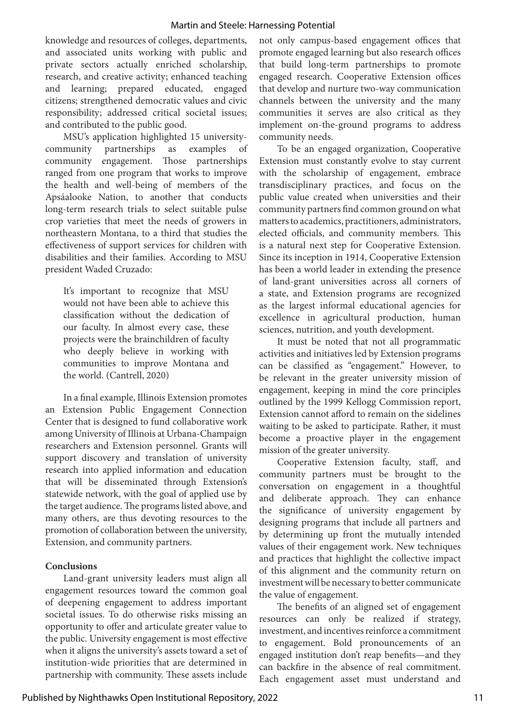knowledge and resources of colleges, departments, and associated units working with public and private sectors actually enriched scholarship, research, and creative activity; enhanced teaching and learning; prepared educated, engaged citizens; strengthened democratic values and civic responsibility; addressed critical societal issues; and contributed to the public good.

MSU's application highlighted 15 universitycommunity partnerships as examples of community engagement. Those partnerships ranged from one program that works to improve the health and well-being of members of the Apsáalooke Nation, to another that conducts long-term research trials to select suitable pulse crop varieties that meet the needs of growers in northeastern Montana, to a third that studies the effectiveness of support services for children with disabilities and their families. According to MSU president Waded Cruzado:

It's important to recognize that MSU would not have been able to achieve this classification without the dedication of our faculty. In almost every case, these projects were the brainchildren of faculty who deeply believe in working with communities to improve Montana and the world. (Cantrell, 2020)

In a final example, Illinois Extension promotes an Extension Public Engagement Connection Center that is designed to fund collaborative work among University of Illinois at Urbana-Champaign researchers and Extension personnel. Grants will support discovery and translation of university research into applied information and education that will be disseminated through Extension's statewide network, with the goal of applied use by the target audience. The programs listed above, and many others, are thus devoting resources to the promotion of collaboration between the university, Extension, and community partners.

## **Conclusions**

Land-grant university leaders must align all engagement resources toward the common goal of deepening engagement to address important societal issues. To do otherwise risks missing an opportunity to offer and articulate greater value to the public. University engagement is most effective when it aligns the university's assets toward a set of institution-wide priorities that are determined in partnership with community. These assets include

not only campus-based engagement offices that promote engaged learning but also research offices that build long-term partnerships to promote engaged research. Cooperative Extension offices that develop and nurture two-way communication channels between the university and the many communities it serves are also critical as they implement on-the-ground programs to address community needs.

To be an engaged organization, Cooperative Extension must constantly evolve to stay current with the scholarship of engagement, embrace transdisciplinary practices, and focus on the public value created when universities and their community partners find common ground on what matters to academics, practitioners, administrators, elected officials, and community members. This is a natural next step for Cooperative Extension. Since its inception in 1914, Cooperative Extension has been a world leader in extending the presence of land-grant universities across all corners of a state, and Extension programs are recognized as the largest informal educational agencies for excellence in agricultural production, human sciences, nutrition, and youth development.

It must be noted that not all programmatic activities and initiatives led by Extension programs can be classified as "engagement." However, to be relevant in the greater university mission of engagement, keeping in mind the core principles outlined by the 1999 Kellogg Commission report, Extension cannot afford to remain on the sidelines waiting to be asked to participate. Rather, it must become a proactive player in the engagement mission of the greater university.

Cooperative Extension faculty, staff, and community partners must be brought to the conversation on engagement in a thoughtful and deliberate approach. They can enhance the significance of university engagement by designing programs that include all partners and by determining up front the mutually intended values of their engagement work. New techniques and practices that highlight the collective impact of this alignment and the community return on investment will be necessary to better communicate the value of engagement.

The benefits of an aligned set of engagement resources can only be realized if strategy, investment, and incentives reinforce a commitment to engagement. Bold pronouncements of an engaged institution don't reap benefits—and they can backfire in the absence of real commitment. Each engagement asset must understand and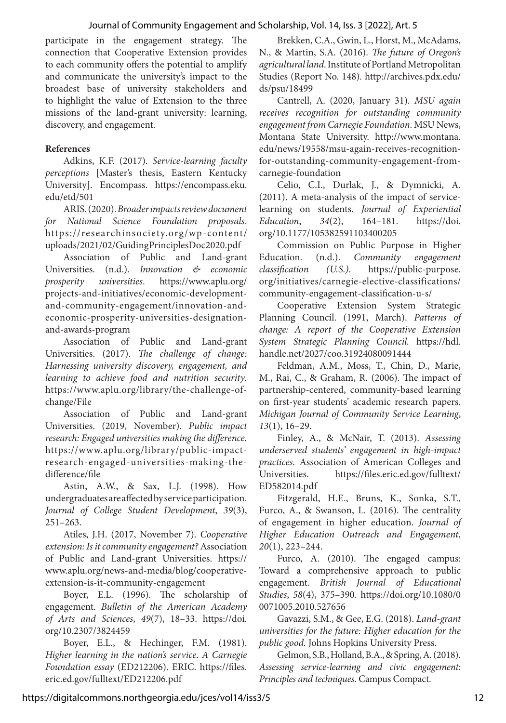participate in the engagement strategy. The connection that Cooperative Extension provides to each community offers the potential to amplify and communicate the university's impact to the broadest base of university stakeholders and to highlight the value of Extension to the three missions of the land-grant university: learning, discovery, and engagement.

# **References**

Adkins, K.F. (2017). *Service-learning faculty perceptions* [Master's thesis, Eastern Kentucky University]. Encompass. https://encompass.eku. edu/etd/501

ARIS. (2020). *Broader impacts review document for National Science Foundation proposals*. https://researchinsociety.org/wp-content/ uploads/2021/02/GuidingPrinciplesDoc2020.pdf

Association of Public and Land-grant Universities. (n.d.). *Innovation & economic prosperity universities*. https://www.aplu.org/ projects-and-initiatives/economic-developmentand-community-engagement/innovation-andeconomic-prosperity-universities-designationand-awards-program

Association of Public and Land-grant Universities. (2017). *The challenge of change: Harnessing university discovery, engagement, and learning to achieve food and nutrition security*. https://www.aplu.org/library/the-challenge-ofchange/File

Association of Public and Land-grant Universities. (2019, November). *Public impact research: Engaged universities making the difference.*  https://www.aplu.org/library/public-impactresearch-engaged-universities-making-thedifference/file

Astin, A.W., & Sax, L.J. (1998). How undergraduates are affected by service participation. *Journal of College Student Development*, *39*(3), 251–263.

Atiles, J.H. (2017, November 7). *Cooperative extension: Is it community engagement?* Association of Public and Land-grant Universities. https:// www.aplu.org/news-and-media/blog/cooperativeextension-is-it-community-engagement

Boyer, E.L. (1996). The scholarship of engagement. *Bulletin of the American Academy of Arts and Sciences*, *49*(7), 18–33. https://doi. org/10.2307/3824459

Boyer, E.L., & Hechinger, F.M. (1981). *Higher learning in the nation's service*. *A Carnegie Foundation essay* (ED212206). ERIC. https://files. eric.ed.gov/fulltext/ED212206.pdf

Brekken, C.A., Gwin, L., Horst, M., McAdams, N., & Martin, S.A. (2016). *The future of Oregon's agricultural land*. Institute of Portland Metropolitan Studies (Report No. 148). http://archives.pdx.edu/ ds/psu/18499

Cantrell, A. (2020, January 31). *MSU again receives recognition for outstanding community engagement from Carnegie Foundation*. MSU News, Montana State University. http://www.montana. edu/news/19558/msu-again-receives-recognitionfor-outstanding-community-engagement-fromcarnegie-foundation

Celio, C.I., Durlak, J., & Dymnicki, A. (2011). A meta-analysis of the impact of servicelearning on students. *Journal of Experiential Education*, *34*(2), 164–181. https://doi. org/10.1177/105382591103400205

Commission on Public Purpose in Higher Education. (n.d.). *Community engagement classification (U.S.)*. https://public-purpose. org/initiatives/carnegie-elective-classifications/ community-engagement-classification-u-s/

Cooperative Extension System Strategic Planning Council. (1991, March). *Patterns of change: A report of the Cooperative Extension System Strategic Planning Council.* https://hdl. handle.net/2027/coo.31924080091444

Feldman, A.M., Moss, T., Chin, D., Marie, M., Rai, C., & Graham, R. (2006). The impact of partnership-centered, community-based learning on first-year students' academic research papers. *Michigan Journal of Community Service Learning*, *13*(1), 16–29.

Finley, A., & McNair, T. (2013). *Assessing underserved students' engagement in high-impact practices.* Association of American Colleges and Universities. https://files.eric.ed.gov/fulltext/ ED582014.pdf

Fitzgerald, H.E., Bruns, K., Sonka, S.T., Furco, A., & Swanson, L. (2016). The centrality of engagement in higher education. *Journal of Higher Education Outreach and Engagement*, *20*(1), 223–244.

Furco, A. (2010). The engaged campus: Toward a comprehensive approach to public engagement. *British Journal of Educational Studies*, *58*(4), 375–390. https://doi.org/10.1080/0 0071005.2010.527656

Gavazzi, S.M., & Gee, E.G. (2018). *Land-grant universities for the future: Higher education for the public good.* Johns Hopkins University Press.

Gelmon, S.B., Holland, B.A., & Spring, A. (2018). *Assessing service-learning and civic engagement: Principles and techniques*. Campus Compact.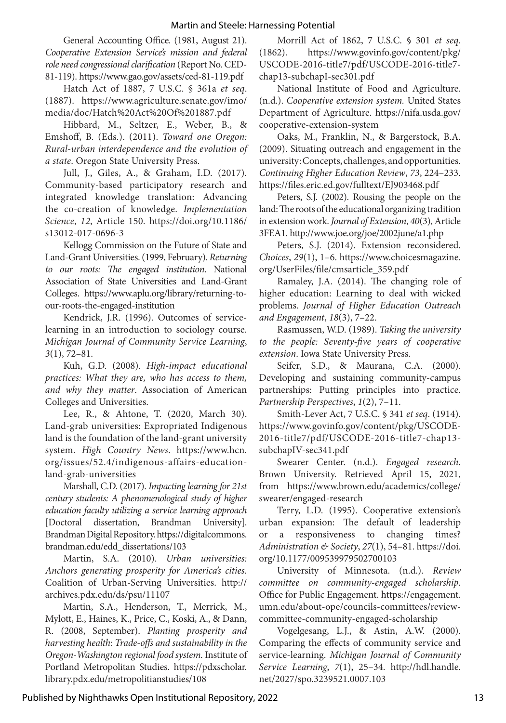General Accounting Office. (1981, August 21). *Cooperative Extension Service's mission and federal role need congressional clarification* (Report No. CED-81-119). https://www.gao.gov/assets/ced-81-119.pdf

Hatch Act of 1887, 7 U.S.C. § 361a *et seq*. (1887). https://www.agriculture.senate.gov/imo/ media/doc/Hatch%20Act%20Of%201887.pdf

Hibbard, M., Seltzer, E., Weber, B., & Emshoff, B. (Eds.). (2011). *Toward one Oregon: Rural-urban interdependence and the evolution of a state*. Oregon State University Press.

Jull, J., Giles, A., & Graham, I.D. (2017). Community-based participatory research and integrated knowledge translation: Advancing the co-creation of knowledge. *Implementation Science*, *12*, Article 150. https://doi.org/10.1186/ s13012-017-0696-3

Kellogg Commission on the Future of State and Land-Grant Universities. (1999, February). *Returning to our roots: The engaged institution*. National Association of State Universities and Land-Grant Colleges. https://www.aplu.org/library/returning-toour-roots-the-engaged-institution

Kendrick, J.R. (1996). Outcomes of servicelearning in an introduction to sociology course. *Michigan Journal of Community Service Learning*, *3*(1), 72–81.

Kuh, G.D. (2008). *High-impact educational practices: What they are, who has access to them, and why they matter*. Association of American Colleges and Universities.

Lee, R., & Ahtone, T. (2020, March 30). Land-grab universities: Expropriated Indigenous land is the foundation of the land-grant university system. *High Country News*. https://www.hcn. org/issues/52.4/indigenous-affairs-educationland-grab-universities

Marshall, C.D. (2017). *Impacting learning for 21st century students: A phenomenological study of higher education faculty utilizing a service learning approach* [Doctoral dissertation, Brandman University]. Brandman Digital Repository. https://digitalcommons. brandman.edu/edd\_dissertations/103

Martin, S.A. (2010). *Urban universities: Anchors generating prosperity for America's cities.* Coalition of Urban-Serving Universities. http:// archives.pdx.edu/ds/psu/11107

Martin, S.A., Henderson, T., Merrick, M., Mylott, E., Haines, K., Price, C., Koski, A., & Dann, R. (2008, September). *Planting prosperity and harvesting health: Trade-offs and sustainability in the Oregon-Washington regional food system.* Institute of Portland Metropolitan Studies. https://pdxscholar. library.pdx.edu/metropolitianstudies/108

Morrill Act of 1862, 7 U.S.C. § 301 *et seq*. (1862). https://www.govinfo.gov/content/pkg/ USCODE-2016-title7/pdf/USCODE-2016-title7 chap13-subchapI-sec301.pdf

National Institute of Food and Agriculture. (n.d.). *Cooperative extension system.* United States Department of Agriculture. https://nifa.usda.gov/ cooperative-extension-system

Oaks, M., Franklin, N., & Bargerstock, B.A. (2009). Situating outreach and engagement in the university: Concepts, challenges, and opportunities. *Continuing Higher Education Review*, *73*, 224–233. https://files.eric.ed.gov/fulltext/EJ903468.pdf

Peters, S.J. (2002). Rousing the people on the land: The roots of the educational organizing tradition in extension work. *Journal of Extension*, *40*(3), Article 3FEA1. http://www.joe.org/joe/2002june/a1.php

Peters, S.J. (2014). Extension reconsidered. *Choices*, *29*(1), 1–6. https://www.choicesmagazine. org/UserFiles/file/cmsarticle\_359.pdf

Ramaley, J.A. (2014). The changing role of higher education: Learning to deal with wicked problems. *Journal of Higher Education Outreach and Engagement*, *18*(3), 7–22.

Rasmussen, W.D. (1989). *Taking the university to the people: Seventy-five years of cooperative extension*. Iowa State University Press.

Seifer, S.D., & Maurana, C.A. (2000). Developing and sustaining community-campus partnerships: Putting principles into practice. *Partnership Perspectives*, *1*(2), 7–11.

Smith-Lever Act, 7 U.S.C. § 341 *et seq*. (1914). https://www.govinfo.gov/content/pkg/USCODE-2016-title7/pdf/USCODE-2016-title7-chap13 subchapIV-sec341.pdf

Swearer Center. (n.d.). *Engaged research*. Brown University. Retrieved April 15, 2021, from https://www.brown.edu/academics/college/ swearer/engaged-research

Terry, L.D. (1995). Cooperative extension's urban expansion: The default of leadership or a responsiveness to changing times? *Administration & Society*, *27*(1), 54–81. https://doi. org/10.1177/009539979502700103

University of Minnesota. (n.d.). *Review committee on community-engaged scholarship*. Office for Public Engagement. https://engagement. umn.edu/about-ope/councils-committees/reviewcommittee-community-engaged-scholarship

Vogelgesang, L.J., & Astin, A.W. (2000). Comparing the effects of community service and service-learning. *Michigan Journal of Community Service Learning*, *7*(1), 25–34. http://hdl.handle. net/2027/spo.3239521.0007.103